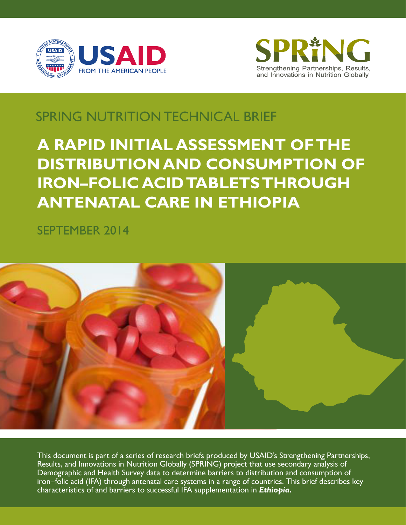



# SPRING NUTRITION TECHNICAL BRIEF

# **A RAPID INITIAL ASSESSMENT OF THE DISTRIBUTION AND CONSUMPTION OF IRON–FOLIC ACID TABLETS THROUGH ANTENATAL CARE IN ETHIOPIA**

SEPTEMBER 2014



This document is part of a series of research briefs produced by USAID's Strengthening Partnerships, Results, and Innovations in Nutrition Globally (SPRING) project that use secondary analysis of Demographic and Health Survey data to determine barriers to distribution and consumption of iron–folic acid (IFA) through antenatal care systems in a range of countries. This brief describes key characteristics of and barriers to successful IFA supplementation in *Ethiopia.*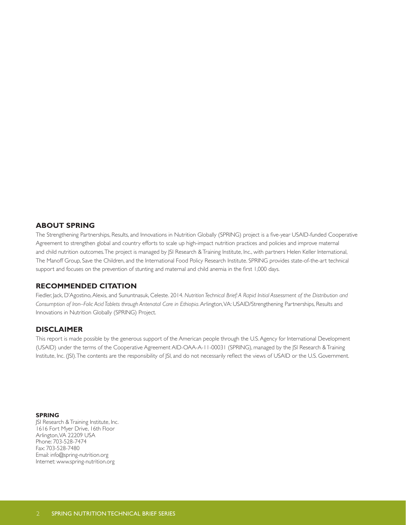#### **ABOUT SPRING**

The Strengthening Partnerships, Results, and Innovations in Nutrition Globally (SPRING) project is a five-year USAID-funded Cooperative Agreement to strengthen global and country efforts to scale up high-impact nutrition practices and policies and improve maternal and child nutrition outcomes. The project is managed by JSI Research & Training Institute, Inc., with partners Helen Keller International, The Manoff Group, Save the Children, and the International Food Policy Research Institute. SPRING provides state-of-the-art technical support and focuses on the prevention of stunting and maternal and child anemia in the first 1,000 days.

#### **RECOMMENDED CITATION**

Fiedler, Jack, D'Agostino, Alexis, and Sununtnasuk, Celeste. 2014. Nutrition Technical Brief: A Rapid Initial Assessment of the Distribution and *Consumption of Iron–Folic Acid Tablets through Antenatal Care in Ethiopia*. Arlington, VA: USAID/Strengthening Partnerships, Results and Innovations in Nutrition Globally (SPRING) Project.

#### **DISCLAIMER**

This report is made possible by the generous support of the American people through the U.S. Agency for International Development (USAID) under the terms of the Cooperative Agreement AID-OAA-A-11-00031 (SPRING), managed by the JSI Research & Training Institute, Inc. (JSI). The contents are the responsibility of JSI, and do not necessarily reflect the views of USAID or the U.S. Government.

#### **SPRING**

JSI Research & Training Institute, Inc. 1616 Fort Myer Drive, 16th Floor Arlington, VA 22209 USA Phone: 703-528-7474 Fax: 703-528-7480 Email: info@spring-nutrition.org Internet: www.spring-nutrition.org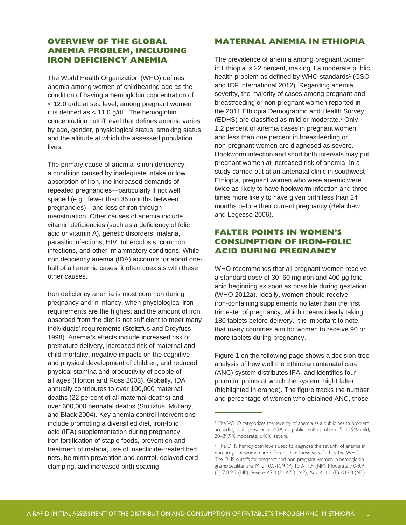# **OVERVIEW OF THE GLOBAL ANEMIA PROBLEM, INCLUDING IRON DEFICIENCY ANEMIA**

The World Health Organization (WHO) defines anemia among women of childbearing age as the condition of having a hemoglobin concentration of < 12.0 g/dL at sea level; among pregnant women it is defined as < 11.0 g/dL. The hemoglobin concentration cutoff level that defines anemia varies by age, gender, physiological status, smoking status, and the altitude at which the assessed population lives.

The primary cause of anemia is iron deficiency, a condition caused by inadequate intake or low absorption of iron, the increased demands of repeated pregnancies—particularly if not well spaced (e.g., fewer than 36 months between pregnancies)—and loss of iron through menstruation. Other causes of anemia include vitamin deficiencies (such as a deficiency of folic acid or vitamin A), genetic disorders, malaria, parasitic infections, HIV, tuberculosis, common infections, and other inflammatory conditions. While iron deficiency anemia (IDA) accounts for about onehalf of all anemia cases, it often coexists with these other causes.

Iron deficiency anemia is most common during pregnancy and in infancy, when physiological iron requirements are the highest and the amount of iron absorbed from the diet is not sufficient to meet many individuals' requirements (Stoltzfus and Dreyfuss 1998). Anemia's effects include increased risk of premature delivery, increased risk of maternal and child mortality, negative impacts on the cognitive and physical development of children, and reduced physical stamina and productivity of people of all ages (Horton and Ross 2003). Globally, IDA annually contributes to over 100,000 maternal deaths (22 percent of all maternal deaths) and over 600,000 perinatal deaths (Stoltzfus, Mullany, and Black 2004). Key anemia control interventions include promoting a diversified diet, iron-folic acid (IFA) supplementation during pregnancy, iron fortification of staple foods, prevention and treatment of malaria, use of insecticide-treated bed nets, helminth prevention and control, delayed cord clamping, and increased birth spacing.

# **MATERNAL ANEMIA IN ETHIOPIA**

The prevalence of anemia among pregnant women in Ethiopia is 22 percent, making it a moderate public health problem as defined by WHO standards $^1$  (CSO and ICF International 2012). Regarding anemia severity, the majority of cases among pregnant and breastfeeding or non-pregnant women reported in the 2011 Ethiopia Demographic and Health Survey (EDHS) are classified as mild or moderate.<sup>2</sup> Only 1.2 percent of anemia cases in pregnant women and less than one percent in breastfeeding or non-pregnant women are diagnosed as severe. Hookworm infection and short birth intervals may put pregnant women at increased risk of anemia. In a study carried out at an antenatal clinic in southwest Ethiopia, pregnant women who were anemic were twice as likely to have hookworm infection and three times more likely to have given birth less than 24 months before their current pregnancy (Belachew and Legesse 2006).

# **FALTER POINTS IN WOMEN'S CONSUMPTION OF IRON–FOLIC ACID DURING PREGNANCY**

WHO recommends that all pregnant women receive a standard dose of 30–60 mg iron and 400 µg folic acid beginning as soon as possible during gestation (WHO 2012a). Ideally, women should receive iron-containing supplements no later than the first trimester of pregnancy, which means ideally taking 180 tablets before delivery. It is important to note, that many countries aim for women to receive 90 or more tablets during pregnancy.

Figure 1 on the following page shows a decision-tree analysis of how well the Ethiopian antenatal care (ANC) system distributes IFA, and identifies four potential points at which the system might falter (highlighted in orange). The figure tracks the number and percentage of women who obtained ANC, those

<sup>&</sup>lt;sup>1</sup> The WHO categorizes the severity of anemia as a public health problem according to its prevalence: <5%, no public health problem; 5–19.9%, mild; 20–39.9% moderate; ≥40%, severe.

<sup>&</sup>lt;sup>2</sup> The DHS hemoglobin levels used to diagnose the severity of anemia in non-pregnant women are different than those specified by the WHO. The DHS cutoffs for pregnant and non-pregnant women in hemoglobin grams/deciliter are: Mild 10.0-10.9 (P) 10.0-11.9 (NP); Moderate 7.0-9.9 (P) 7.0-9.9 (NP); Severe <7.0 (P) <7.0 (NP); Any <11.0 (P) <12.0 (NP).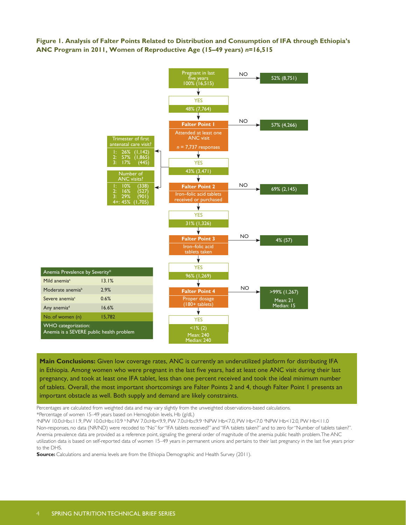**Figure 1. Analysis of Falter Points Related to Distribution and Consumption of IFA through Ethiopia's ANC Program in 2011, Women of Reproductive Age (15–49 years)** *n***=16,515**



**Main Conclusions:** Given low coverage rates, ANC is currently an underutilized platform for distributing IFA in Ethiopia. Among women who were pregnant in the last five years, had at least one ANC visit during their last pregnancy, and took at least one IFA tablet, less than one percent received and took the ideal minimum number of tablets. Overall, the most important shortcomings are Falter Points 2 and 4, though Falter Point 1 presents an important obstacle as well. Both supply and demand are likely constraints.

Percentages are calculated from weighted data and may vary slightly from the unweighted observations-based calculations. \*Percentage of women 15–49 years based on Hemoglobin levels, Hb (g/dL)

NPW 10.0≤Hb≤11.9, PW 10.0≤Hb≤10.9 bNPW 7.0≤Hb<9.9, PW 7.0≤Hb≤9.9 (NPW Hb<7.0, PW Hb<7.0 (NPW Hb<12.0, PW Hb<11.0} هكاكا Non-responses, no data (NR/ND) were recoded to "No" for "IFA tablets received?" and "IFA tablets taken?" and to zero for "Number of tablets taken?". Anemia prevalence data are provided as a reference point, signaling the general order of magnitude of the anemia public health problem. The ANC utilization data is based on self-reported data of women 15–49 years in permanent unions and pertains to their last pregnancy in the last five years prior to the DHS.

**Source:** Calculations and anemia levels are from the Ethiopia Demographic and Health Survey (2011).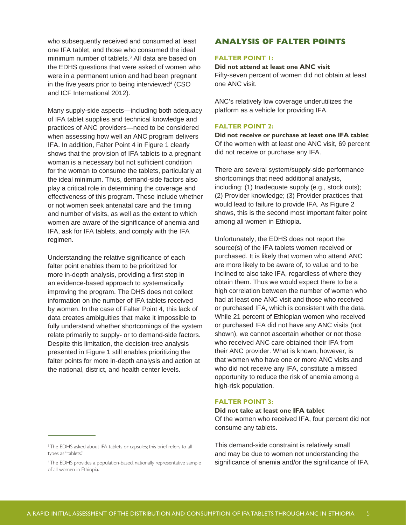who subsequently received and consumed at least one IFA tablet, and those who consumed the ideal minimum number of tablets.3 All data are based on the EDHS questions that were asked of women who were in a permanent union and had been pregnant in the five years prior to being interviewed<sup>4</sup> (CSO and ICF International 2012).

Many supply-side aspects—including both adequacy of IFA tablet supplies and technical knowledge and practices of ANC providers—need to be considered when assessing how well an ANC program delivers IFA. In addition, Falter Point 4 in Figure 1 clearly shows that the provision of IFA tablets to a pregnant woman is a necessary but not sufficient condition for the woman to consume the tablets, particularly at the ideal minimum. Thus, demand-side factors also play a critical role in determining the coverage and effectiveness of this program. These include whether or not women seek antenatal care and the timing and number of visits, as well as the extent to which women are aware of the significance of anemia and IFA, ask for IFA tablets, and comply with the IFA regimen.

Understanding the relative significance of each falter point enables them to be prioritized for more in-depth analysis, providing a first step in an evidence-based approach to systematically improving the program. The DHS does not collect information on the number of IFA tablets received by women. In the case of Falter Point 4, this lack of data creates ambiguities that make it impossible to fully understand whether shortcomings of the system relate primarily to supply- or to demand-side factors. Despite this limitation, the decision-tree analysis presented in Figure 1 still enables prioritizing the falter points for more in-depth analysis and action at the national, district, and health center levels.

# **ANALYSIS OF FALTER POINTS**

#### **FALTER POINT 1:**

#### **Did not attend at least one ANC visit**

Fifty-seven percent of women did not obtain at least one ANC visit.

ANC's relatively low coverage underutilizes the platform as a vehicle for providing IFA.

#### **FALTER POINT 2:**

**Did not receive or purchase at least one IFA tablet**  Of the women with at least one ANC visit, 69 percent did not receive or purchase any IFA.

There are several system/supply-side performance shortcomings that need additional analysis, including: (1) Inadequate supply (e.g., stock outs); (2) Provider knowledge; (3) Provider practices that would lead to failure to provide IFA. As Figure 2 shows, this is the second most important falter point among all women in Ethiopia.

Unfortunately, the EDHS does not report the source(s) of the IFA tablets women received or purchased. It is likely that women who attend ANC are more likely to be aware of, to value and to be inclined to also take IFA, regardless of where they obtain them. Thus we would expect there to be a high correlation between the number of women who had at least one ANC visit and those who received or purchased IFA, which is consistent with the data. While 21 percent of Ethiopian women who received or purchased IFA did not have any ANC visits (not shown), we cannot ascertain whether or not those who received ANC care obtained their IFA from their ANC provider. What is known, however, is that women who have one or more ANC visits and who did not receive any IFA, constitute a missed opportunity to reduce the risk of anemia among a high-risk population.

#### **FALTER POINT 3:**

#### **Did not take at least one IFA tablet**

Of the women who received IFA, four percent did not consume any tablets.

<sup>4</sup> The EDHS provides a population-based, nationally representative sample of all women in Ethiopia.

This demand-side constraint is relatively small and may be due to women not understanding the significance of anemia and/or the significance of IFA.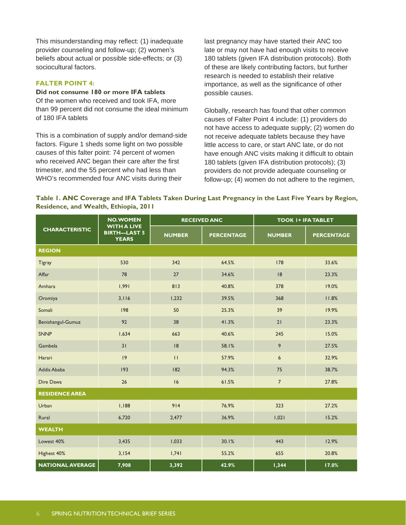This misunderstanding may reflect: (1) inadequate provider counseling and follow-up; (2) women's beliefs about actual or possible side-effects; or (3) sociocultural factors.

#### **FALTER POINT 4:**

#### **Did not consume 180 or more IFA tablets**

Of the women who received and took IFA, more than 99 percent did not consume the ideal minimum of 180 IFA tablets

This is a combination of supply and/or demand-side factors. Figure 1 sheds some light on two possible causes of this falter point: 74 percent of women who received ANC began their care after the first trimester, and the 55 percent who had less than WHO's recommended four ANC visits during their

last pregnancy may have started their ANC too late or may not have had enough visits to receive 180 tablets (given IFA distribution protocols). Both of these are likely contributing factors, but further research is needed to establish their relative importance, as well as the significance of other possible causes.

Globally, research has found that other common causes of Falter Point 4 include: (1) providers do not have access to adequate supply; (2) women do not receive adequate tablets because they have little access to care, or start ANC late, or do not have enough ANC visits making it difficult to obtain 180 tablets (given IFA distribution protocols); (3) providers do not provide adequate counseling or follow-up; (4) women do not adhere to the regimen,

| Table I. ANC Coverage and IFA Tablets Taken During Last Pregnancy in the Last Five Years by Region, |  |  |  |
|-----------------------------------------------------------------------------------------------------|--|--|--|
| Residence, and Wealth, Ethiopia, 2011                                                               |  |  |  |

| <b>CHARACTERISTIC</b>   | <b>NO.WOMEN</b><br><b>WITH A LIVE</b><br><b>BIRTH-LAST 5</b><br><b>YEARS</b> | <b>RECEIVED ANC</b> |                   | <b>TOOK I+ IFA TABLET</b> |                   |
|-------------------------|------------------------------------------------------------------------------|---------------------|-------------------|---------------------------|-------------------|
|                         |                                                                              | <b>NUMBER</b>       | <b>PERCENTAGE</b> | <b>NUMBER</b>             | <b>PERCENTAGE</b> |
| <b>REGION</b>           |                                                                              |                     |                   |                           |                   |
| <b>Tigray</b>           | 530                                                                          | 342                 | 64.5%             | 178                       | 33.6%             |
| Affar                   | 78                                                                           | 27                  | 34.6%             | 8                         | 23.3%             |
| Amhara                  | 1,991                                                                        | 813                 | 40.8%             | 378                       | 19.0%             |
| Oromiya                 | 3,116                                                                        | 1,232               | 39.5%             | 368                       | 11.8%             |
| Somali                  | 198                                                                          | 50                  | 25.3%             | 39                        | 19.9%             |
| Benishangul-Gumuz       | 92                                                                           | 38                  | 41.3%             | 21                        | 23.3%             |
| <b>SNNP</b>             | 1,634                                                                        | 663                 | 40.6%             | 245                       | 15.0%             |
| Gambela                 | 31                                                                           | 8                   | 58.1%             | 9                         | 27.5%             |
| Harari                  | 9                                                                            | $\mathbf{H}$        | 57.9%             | 6                         | 32.9%             |
| Addis Ababa             | 193                                                                          | 182                 | 94.3%             | 75                        | 38.7%             |
| Dire Dawa               | 26                                                                           | 6                   | 61.5%             | $\overline{7}$            | 27.8%             |
| <b>RESIDENCE AREA</b>   |                                                                              |                     |                   |                           |                   |
| Urban                   | 1,188                                                                        | 914                 | 76.9%             | 323                       | 27.2%             |
| Rural                   | 6,720                                                                        | 2,477               | 36.9%             | 1,021                     | 15.2%             |
| <b>WEALTH</b>           |                                                                              |                     |                   |                           |                   |
| Lowest 40%              | 3,435                                                                        | 1,033               | 30.1%             | 443                       | 12.9%             |
| Highest 40%             | 3,154                                                                        | 1,741               | 55.2%             | 655                       | 20.8%             |
| <b>NATIONAL AVERAGE</b> | 7,908                                                                        | 3,392               | 42.9%             | 1,344                     | 17.0%             |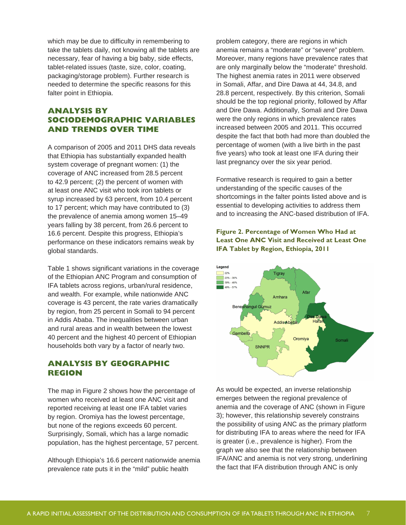which may be due to difficulty in remembering to take the tablets daily, not knowing all the tablets are necessary, fear of having a big baby, side effects, tablet-related issues (taste, size, color, coating, packaging/storage problem). Further research is needed to determine the specific reasons for this falter point in Ethiopia.

# **ANALYSIS BY SOCIODEMOGRAPHIC VARIABLES AND TRENDS OVER TIME**

A comparison of 2005 and 2011 DHS data reveals that Ethiopia has substantially expanded health system coverage of pregnant women: (1) the coverage of ANC increased from 28.5 percent to 42.9 percent; (2) the percent of women with at least one ANC visit who took iron tablets or syrup increased by 63 percent, from 10.4 percent to 17 percent; which may have contributed to (3) the prevalence of anemia among women 15–49 years falling by 38 percent, from 26.6 percent to 16.6 percent. Despite this progress, Ethiopia's performance on these indicators remains weak by global standards.

Table 1 shows significant variations in the coverage of the Ethiopian ANC Program and consumption of IFA tablets across regions, urban/rural residence, and wealth. For example, while nationwide ANC coverage is 43 percent, the rate varies dramatically by region, from 25 percent in Somali to 94 percent in Addis Ababa. The inequalities between urban and rural areas and in wealth between the lowest 40 percent and the highest 40 percent of Ethiopian households both vary by a factor of nearly two.

# **ANALYSIS BY GEOGRAPHIC REGION**

The map in Figure 2 shows how the percentage of women who received at least one ANC visit and reported receiving at least one IFA tablet varies by region. Oromiya has the lowest percentage, but none of the regions exceeds 60 percent. Surprisingly, Somali, which has a large nomadic population, has the highest percentage, 57 percent.

Although Ethiopia's 16.6 percent nationwide anemia prevalence rate puts it in the "mild" public health

problem category, there are regions in which anemia remains a "moderate" or "severe" problem. Moreover, many regions have prevalence rates that are only marginally below the "moderate" threshold. The highest anemia rates in 2011 were observed in Somali, Affar, and Dire Dawa at 44, 34.8, and 28.8 percent, respectively. By this criterion, Somali should be the top regional priority, followed by Affar and Dire Dawa. Additionally, Somali and Dire Dawa were the only regions in which prevalence rates increased between 2005 and 2011. This occurred despite the fact that both had more than doubled the percentage of women (with a live birth in the past five years) who took at least one IFA during their last pregnancy over the six year period.

Formative research is required to gain a better understanding of the specific causes of the shortcomings in the falter points listed above and is essential to developing activities to address them and to increasing the ANC-based distribution of IFA.

#### **Figure 2. Percentage of Women Who Had at Least One ANC Visit and Received at Least One IFA Tablet by Region, Ethiopia, 2011**



As would be expected, an inverse relationship emerges between the regional prevalence of anemia and the coverage of ANC (shown in Figure 3); however, this relationship severely constrains the possibility of using ANC as the primary platform for distributing IFA to areas where the need for IFA is greater (i.e., prevalence is higher). From the graph we also see that the relationship between IFA/ANC and anemia is not very strong, underlining the fact that IFA distribution through ANC is only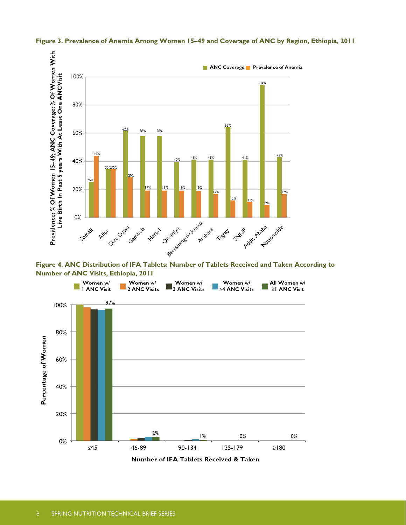

**Figure 3. Prevalence of Anemia Among Women 15–49 and Coverage of ANC by Region, Ethiopia, 2011**

**Number of ANC Visits, Ethiopia, 2011**

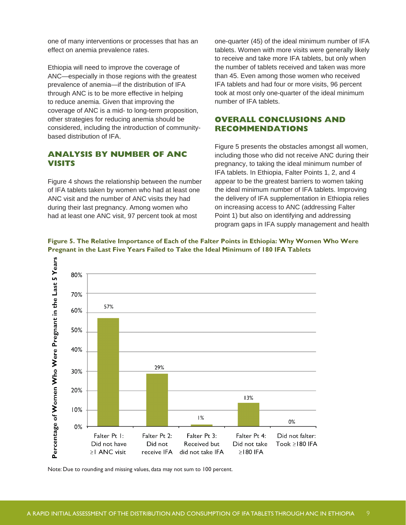one of many interventions or processes that has an effect on anemia prevalence rates.

Ethiopia will need to improve the coverage of ANC—especially in those regions with the greatest prevalence of anemia—if the distribution of IFA through ANC is to be more effective in helping to reduce anemia. Given that improving the coverage of ANC is a mid- to long-term proposition, other strategies for reducing anemia should be considered, including the introduction of communitybased distribution of IFA.

### **ANALYSIS BY NUMBER OF ANC VISITS**

Figure 4 shows the relationship between the number of IFA tablets taken by women who had at least one ANC visit and the number of ANC visits they had during their last pregnancy. Among women who had at least one ANC visit, 97 percent took at most

one-quarter (45) of the ideal minimum number of IFA tablets. Women with more visits were generally likely to receive and take more IFA tablets, but only when the number of tablets received and taken was more than 45. Even among those women who received IFA tablets and had four or more visits, 96 percent took at most only one-quarter of the ideal minimum number of IFA tablets.

# **OVERALL CONCLUSIONS AND RECOMMENDATIONS**

Figure 5 presents the obstacles amongst all women, including those who did not receive ANC during their pregnancy, to taking the ideal minimum number of IFA tablets. In Ethiopia, Falter Points 1, 2, and 4 appear to be the greatest barriers to women taking the ideal minimum number of IFA tablets. Improving the delivery of IFA supplementation in Ethiopia relies on increasing access to ANC (addressing Falter Point 1) but also on identifying and addressing program gaps in IFA supply management and health





Note: Due to rounding and missing values, data may not sum to 100 percent.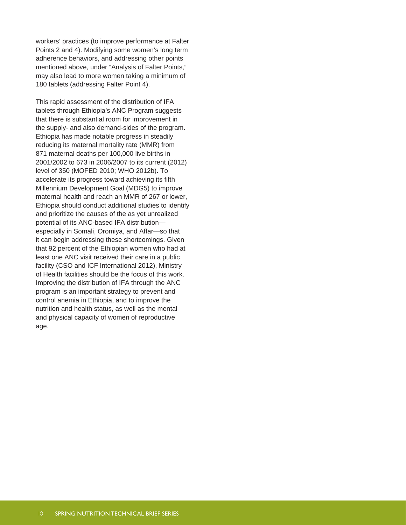workers' practices (to improve performance at Falter Points 2 and 4). Modifying some women's long term adherence behaviors, and addressing other points mentioned above, under "Analysis of Falter Points," may also lead to more women taking a minimum of 180 tablets (addressing Falter Point 4).

This rapid assessment of the distribution of IFA tablets through Ethiopia's ANC Program suggests that there is substantial room for improvement in the supply- and also demand-sides of the program. Ethiopia has made notable progress in steadily reducing its maternal mortality rate (MMR) from 871 maternal deaths per 100,000 live births in 2001/2002 to 673 in 2006/2007 to its current (2012) level of 350 (MOFED 2010; WHO 2012b). To accelerate its progress toward achieving its fifth Millennium Development Goal (MDG5) to improve maternal health and reach an MMR of 267 or lower, Ethiopia should conduct additional studies to identify and prioritize the causes of the as yet unrealized potential of its ANC-based IFA distribution especially in Somali, Oromiya, and Affar—so that it can begin addressing these shortcomings. Given that 92 percent of the Ethiopian women who had at least one ANC visit received their care in a public facility (CSO and ICF International 2012), Ministry of Health facilities should be the focus of this work. Improving the distribution of IFA through the ANC program is an important strategy to prevent and control anemia in Ethiopia, and to improve the nutrition and health status, as well as the mental and physical capacity of women of reproductive age.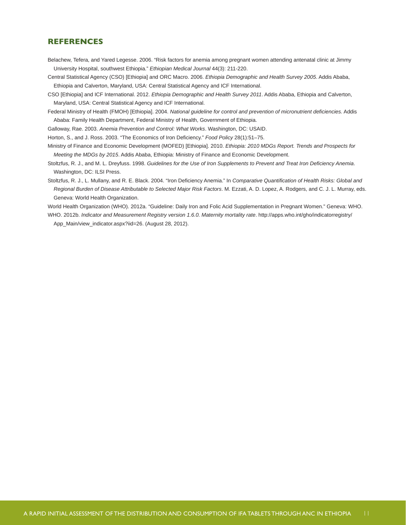#### **REFERENCES**

- Belachew, Tefera, and Yared Legesse. 2006. "Risk factors for anemia among pregnant women attending antenatal clinic at Jimmy University Hospital, southwest Ethiopia." *Ethiopian Medical Journal* 44(3): 211-220.
- Central Statistical Agency (CSO) [Ethiopia] and ORC Macro. 2006. *Ethiopia Demographic and Health Survey 2005*. Addis Ababa, Ethiopia and Calverton, Maryland, USA: Central Statistical Agency and ICF International.
- CSO [Ethiopia] and ICF International. 2012. *Ethiopia Demographic and Health Survey 2011*. Addis Ababa, Ethiopia and Calverton, Maryland, USA: Central Statistical Agency and ICF International.
- Federal Ministry of Health (FMOH) [Ethiopia]. 2004. *National guideline for control and prevention of micronutrient deficiencies.* Addis Ababa: Family Health Department, Federal Ministry of Health, Government of Ethiopia.
- Galloway, Rae. 2003. *Anemia Prevention and Control: What Works*. Washington, DC: USAID.

Horton, S., and J. Ross. 2003. "The Economics of Iron Deficiency." *Food Policy* 28(1):51–75.

- Ministry of Finance and Economic Development (MOFED) [Ethiopia]. 2010. *Ethiopia: 2010 MDGs Report. Trends and Prospects for Meeting the MDGs by 2015*. Addis Ababa, Ethiopia: Ministry of Finance and Economic Development.
- Stoltzfus, R. J., and M. L. Dreyfuss. 1998. *Guidelines for the Use of Iron Supplements to Prevent and Treat Iron Deficiency Anemia*. Washington, DC: ILSI Press.
- Stoltzfus, R. J., L. Mullany, and R. E. Black. 2004. "Iron Deficiency Anemia." In *Comparative Quantification of Health Risks: Global and Regional Burden of Disease Attributable to Selected Major Risk Factors*. M. Ezzati, A. D. Lopez, A. Rodgers, and C. J. L. Murray, eds. Geneva: World Health Organization.

World Health Organization (WHO). 2012a. "Guideline: Daily Iron and Folic Acid Supplementation in Pregnant Women." Geneva: WHO. WHO. 2012b. *Indicator and Measurement Registry version 1.6.0. Maternity mortality rate*. http://apps.who.int/gho/indicatorregistry/

App\_Main/view\_indicator.aspx?iid=26. (August 28, 2012).